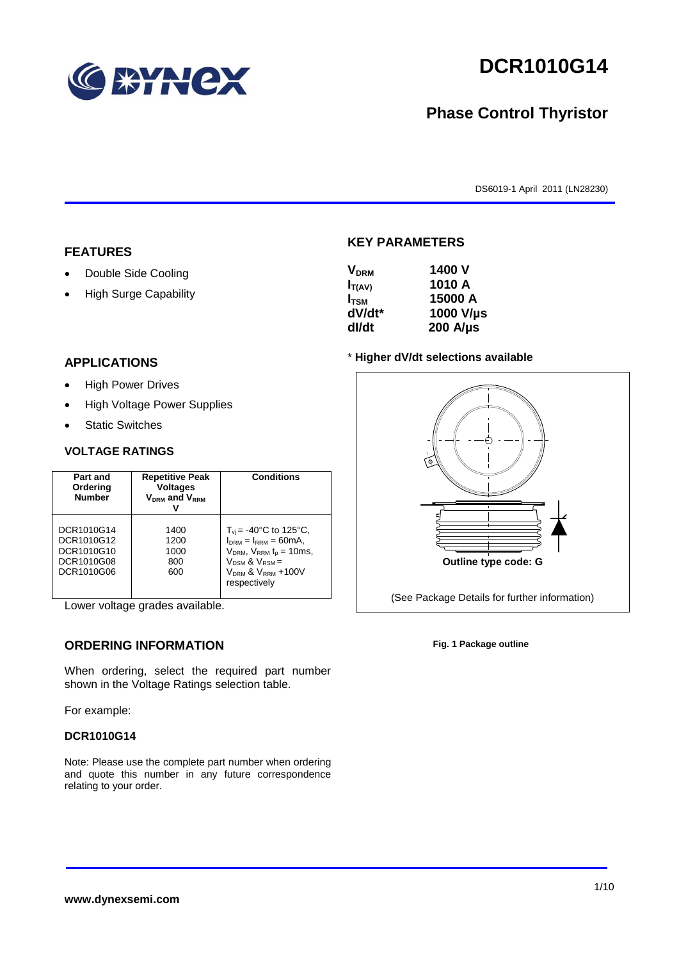

# **DCR1010G14**

## **Phase Control Thyristor**

DS6019-1 April 2011 (LN28230)

#### **FEATURES**

- Double Side Cooling
- High Surge Capability

#### **APPLICATIONS**

- High Power Drives
- High Voltage Power Supplies
- Static Switches

#### **VOLTAGE RATINGS**

| Part and<br>Ordering<br><b>Number</b>                              | <b>Repetitive Peak</b><br><b>Voltages</b><br>$V_{DRM}$ and $V_{RRM}$ | <b>Conditions</b>                                                                                                                                                             |
|--------------------------------------------------------------------|----------------------------------------------------------------------|-------------------------------------------------------------------------------------------------------------------------------------------------------------------------------|
| DCR1010G14<br>DCR1010G12<br>DCR1010G10<br>DCR1010G08<br>DCR1010G06 | 1400<br>1200<br>1000<br>800<br>600                                   | $T_{vi}$ = -40°C to 125°C,<br>$I_{DRM} = I_{RRM} = 60mA$ ,<br>$V_{DRM}$ , $V_{RRM}$ $t_{p}$ = 10ms,<br>$V_{DSM}$ & $V_{RSM}$ =<br>$V_{DRM}$ & $V_{RRM}$ +100V<br>respectively |

Lower voltage grades available.

### **ORDERING INFORMATION**

When ordering, select the required part number shown in the Voltage Ratings selection table.

For example:

#### **DCR1010G14**

Note: Please use the complete part number when ordering and quote this number in any future correspondence relating to your order.



**KEY PARAMETERS**

#### \* **Higher dV/dt selections available**



**Fig. 1 Package outline**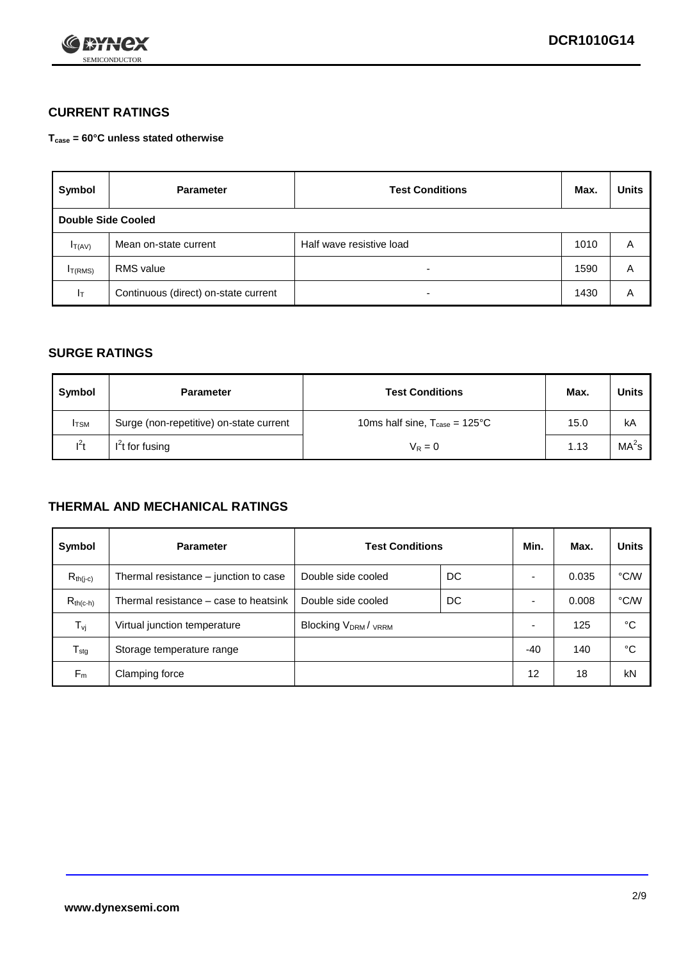

### **CURRENT RATINGS**

**Tcase = 60°C unless stated otherwise**

| Symbol             | <b>Parameter</b>                     | <b>Test Conditions</b>   | Max. | <b>Units</b> |
|--------------------|--------------------------------------|--------------------------|------|--------------|
| Double Side Cooled |                                      |                          |      |              |
| $I_{T(AV)}$        | Mean on-state current                | Half wave resistive load | 1010 | Α            |
| $I_{T(RMS)}$       | <b>RMS</b> value                     | -                        | 1590 | A            |
| Iт                 | Continuous (direct) on-state current | $\overline{\phantom{0}}$ | 1430 | Α            |

#### **SURGE RATINGS**

| Symbol       | <b>Parameter</b>                        | <b>Test Conditions</b>                            | Max. | <b>Units</b>      |
|--------------|-----------------------------------------|---------------------------------------------------|------|-------------------|
| <b>I</b> TSM | Surge (non-repetitive) on-state current | 10ms half sine, $T_{\text{case}} = 125^{\circ}$ C | 15.0 | kA                |
| $l^2t$       | I <sup>'</sup> t for fusing             | $V_R = 0$                                         | 1.13 | MA <sup>2</sup> s |

#### **THERMAL AND MECHANICAL RATINGS**

| Symbol           | <b>Parameter</b>                      | <b>Test Conditions</b>                      |    | Min.                     | Max.  | <b>Units</b> |
|------------------|---------------------------------------|---------------------------------------------|----|--------------------------|-------|--------------|
| $R_{th(j-c)}$    | Thermal resistance – junction to case | Double side cooled                          | DC |                          | 0.035 | °C/W         |
| $R_{th(c-h)}$    | Thermal resistance – case to heatsink | Double side cooled                          | DC |                          | 0.008 | °C/W         |
| $T_{\nu j}$      | Virtual junction temperature          | Blocking V <sub>DRM</sub> / <sub>VRRM</sub> |    | $\overline{\phantom{0}}$ | 125   | °C           |
| $T_{\text{stg}}$ | Storage temperature range             |                                             |    | -40                      | 140   | °C           |
| $F_m$            | Clamping force                        |                                             |    | 12                       | 18    | kN           |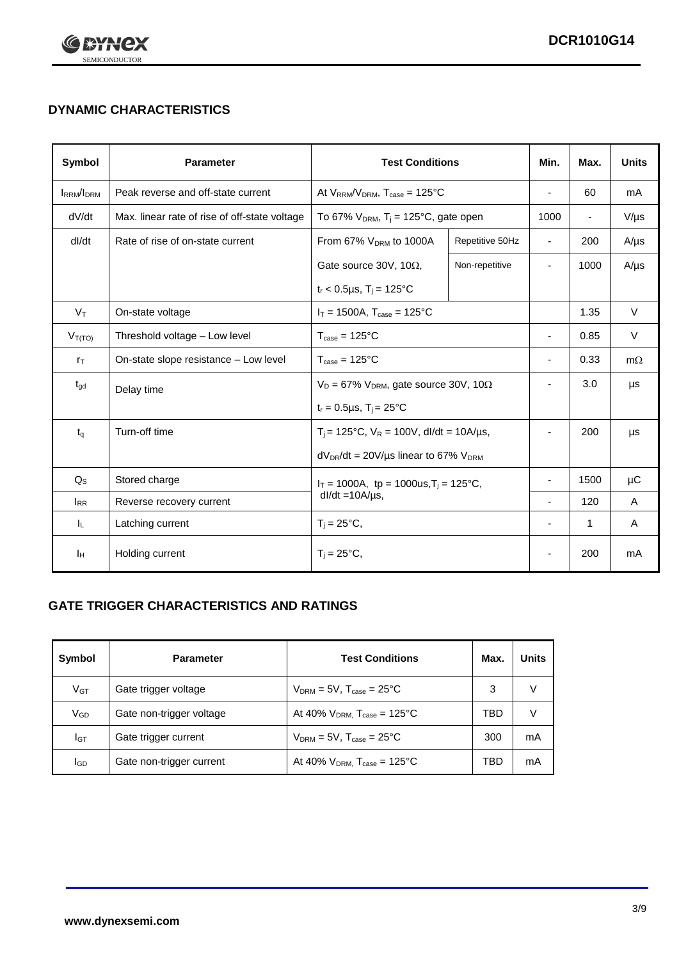

## **DYNAMIC CHARACTERISTICS**

| <b>Symbol</b>     | <b>Parameter</b>                                                  | <b>Test Conditions</b>                                       |                 | Min.                     | Max.                     | <b>Units</b> |
|-------------------|-------------------------------------------------------------------|--------------------------------------------------------------|-----------------|--------------------------|--------------------------|--------------|
| <b>IRRM</b> /IDRM | Peak reverse and off-state current                                | At $V_{RRM}/V_{DRM}$ , $T_{case} = 125^{\circ}C$             |                 |                          | 60                       | mA           |
| dV/dt             | Max. linear rate of rise of off-state voltage                     | To 67% $V_{DRM}$ , T <sub>i</sub> = 125°C, gate open         |                 | 1000                     | $\overline{\phantom{a}}$ | $V/\mu s$    |
| dl/dt             | Rate of rise of on-state current                                  | From 67% $V_{DRM}$ to 1000A                                  | Repetitive 50Hz | $\overline{\phantom{a}}$ | 200                      | $A/\mu s$    |
|                   |                                                                   | Gate source 30V, 10 $\Omega$ ,                               | Non-repetitive  | ٠                        | 1000                     | $A/\mu s$    |
|                   |                                                                   | $t_r$ < 0.5µs, $T_i$ = 125°C                                 |                 |                          |                          |              |
| $V_T$             | On-state voltage                                                  | $I_T = 1500A$ , $T_{case} = 125^{\circ}C$                    |                 |                          | 1.35                     | $\vee$       |
| $V_{T(TO)}$       | Threshold voltage - Low level<br>$T_{\text{case}} = 125^{\circ}C$ |                                                              | $\blacksquare$  | 0.85                     | $\vee$                   |              |
| $r_{\text{T}}$    | On-state slope resistance - Low level                             | $T_{\text{case}} = 125^{\circ}C$                             |                 | $\overline{\phantom{a}}$ | 0.33                     | $m\Omega$    |
| $t_{\rm gd}$      | Delay time                                                        | $V_D = 67\%$ V <sub>DRM</sub> , gate source 30V, 10 $\Omega$ |                 | ٠                        | 3.0                      | μs           |
|                   |                                                                   | $t_r = 0.5 \mu s$ , $T_i = 25^{\circ}C$                      |                 |                          |                          |              |
| $t_q$             | Turn-off time                                                     | $T_i$ = 125°C, $V_R$ = 100V, dl/dt = 10A/µs,                 |                 | ä,                       | 200                      | μs           |
|                   |                                                                   | $dV_{DR}/dt = 20V/\mu s$ linear to 67% $V_{DRM}$             |                 |                          |                          |              |
| $Q_{\rm S}$       | Stored charge                                                     | $I_T = 1000A$ , tp = 1000us, $T_i = 125$ °C,                 |                 |                          | 1500                     | $\mu$ C      |
| $I_{RR}$          | $dl/dt = 10A/\mu s$ ,<br>Reverse recovery current                 |                                                              |                 | 120                      | A                        |              |
| IL.               | Latching current                                                  | $T_i = 25^{\circ}C,$                                         |                 | -                        | $\mathbf{1}$             | Α            |
| Iн                | Holding current                                                   | $T_i = 25^{\circ}C,$                                         |                 |                          | 200                      | mA           |

### **GATE TRIGGER CHARACTERISTICS AND RATINGS**

| Symbol          | <b>Parameter</b>         | <b>Test Conditions</b>                    | Max. | <b>Units</b> |
|-----------------|--------------------------|-------------------------------------------|------|--------------|
| V <sub>GT</sub> | Gate trigger voltage     | $V_{DRM}$ = 5V, $T_{case}$ = 25°C         | 3    |              |
| $V_{GD}$        | Gate non-trigger voltage | At 40% $V_{DRM}$ , $T_{case}$ = 125°C     | TBD  |              |
| Iст             | Gate trigger current     | $V_{DRM} = 5V$ , $T_{case} = 25^{\circ}C$ | 300  | mA           |
| <b>I</b> GD     | Gate non-trigger current | At 40% $V_{DRM}$ , $T_{case}$ = 125°C     | TBD  | mA           |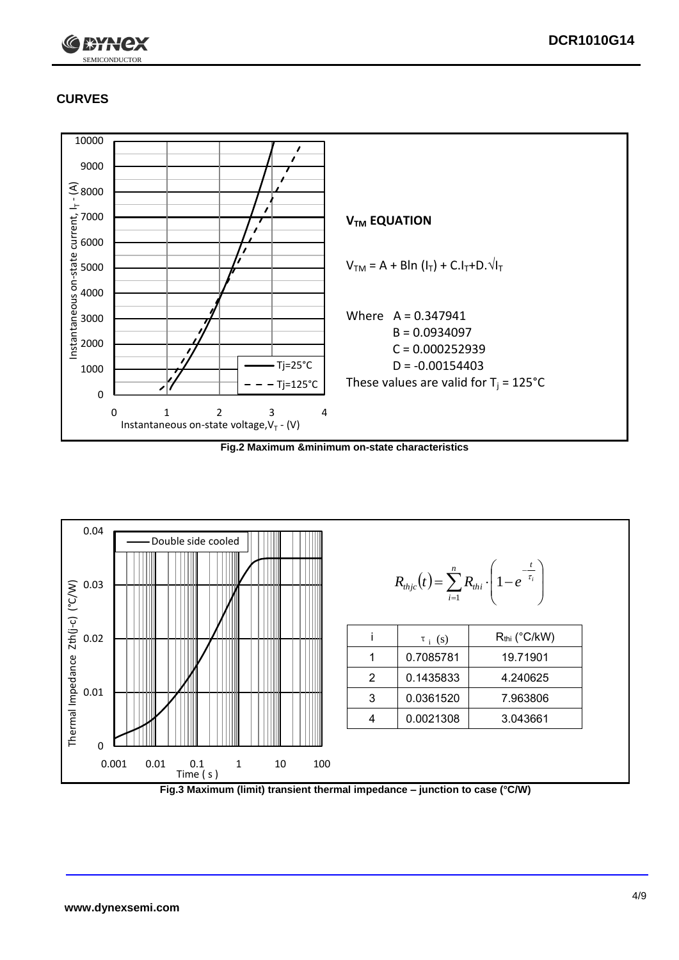

## **CURVES**



**Fig.2 Maximum &minimum on-state characteristics**



**Fig.3 Maximum (limit) transient thermal impedance – junction to case (°C/W)**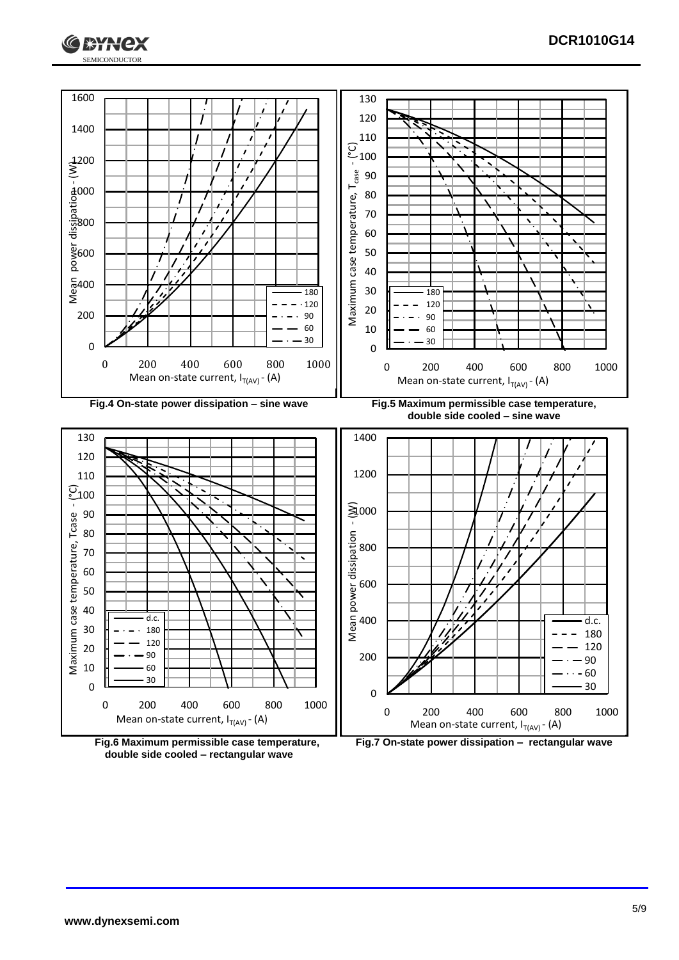





**Fig.7 On-state power dissipation – rectangular wave**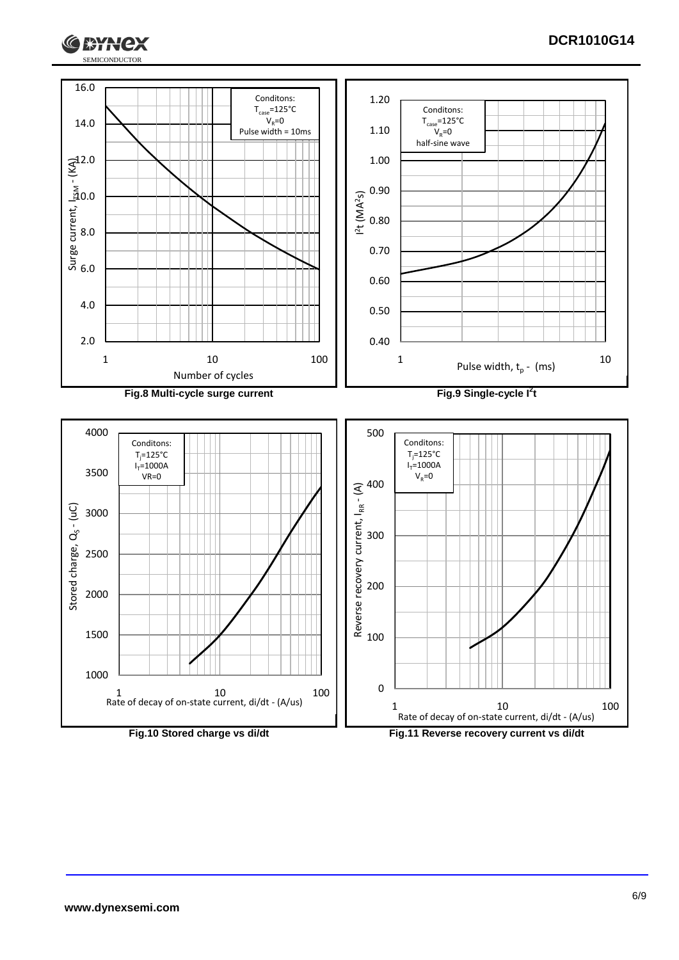

#### **DCR1010G14**

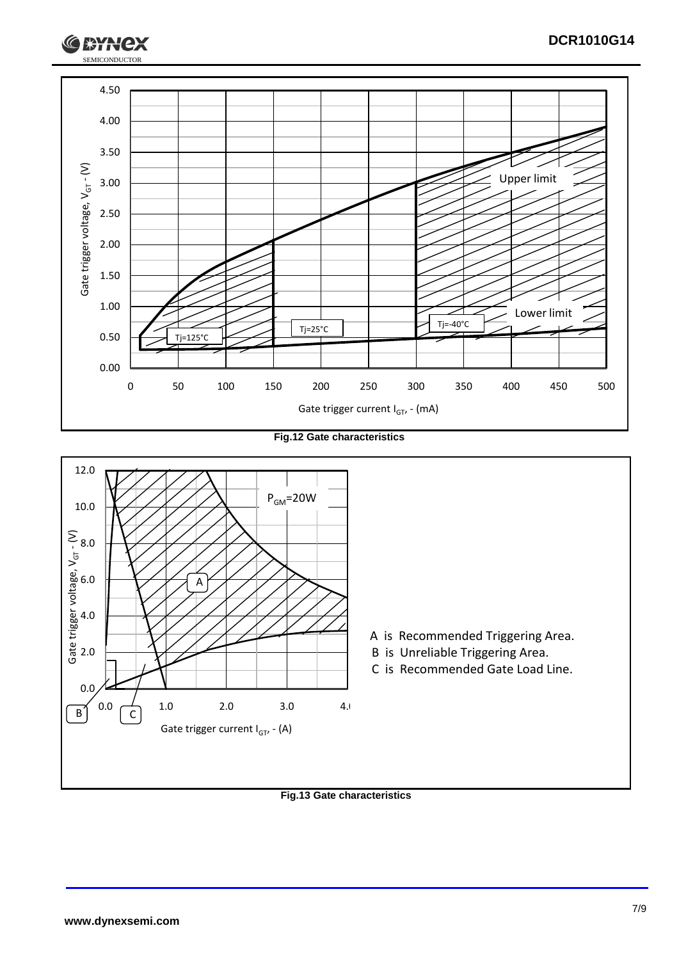

**Fig.12 Gate characteristics**



**Fig.13 Gate characteristics**

SEMICONDUCTOR

**RYH**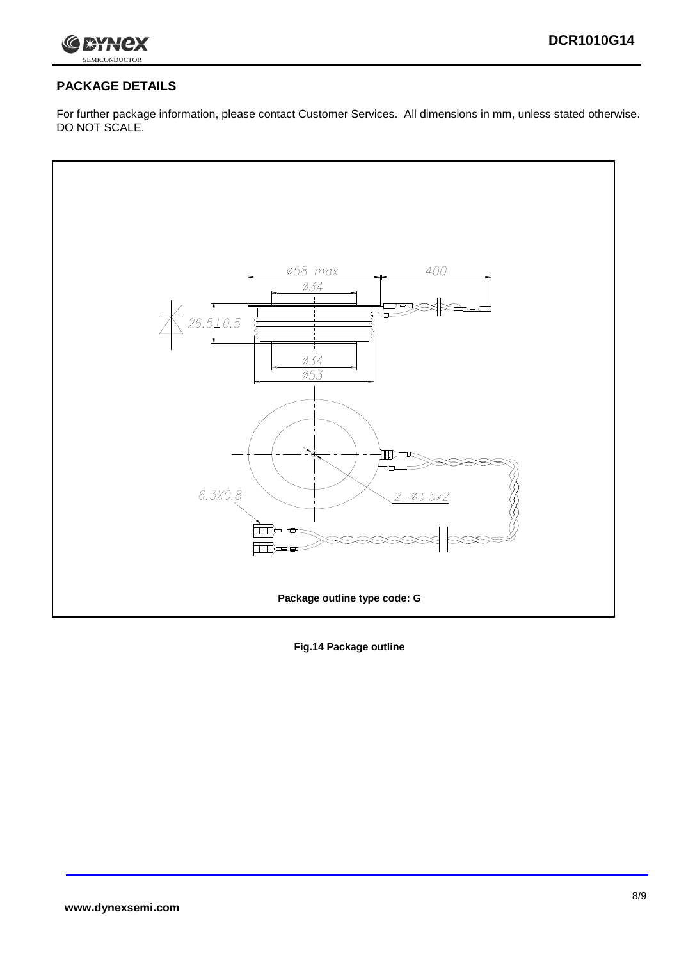

## **PACKAGE DETAILS**

For further package information, please contact Customer Services. All dimensions in mm, unless stated otherwise. DO NOT SCALE.



**Fig.14 Package outline**